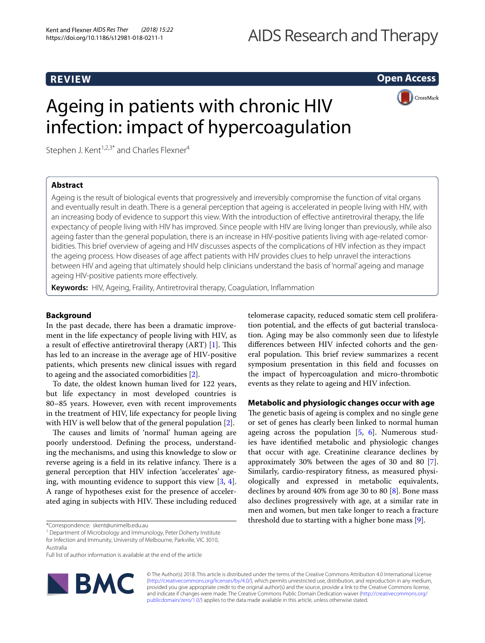# **REVIEW**

**Open Access**

# Ageing in patients with chronic HIV infection: impact of hypercoagulation



Stephen J. Kent<sup>1,2,3\*</sup> and Charles Flexner<sup>4</sup>

# **Abstract**

Ageing is the result of biological events that progressively and irreversibly compromise the function of vital organs and eventually result in death. There is a general perception that ageing is accelerated in people living with HIV, with an increasing body of evidence to support this view. With the introduction of efective antiretroviral therapy, the life expectancy of people living with HIV has improved. Since people with HIV are living longer than previously, while also ageing faster than the general population, there is an increase in HIV-positive patients living with age-related comorbidities. This brief overview of ageing and HIV discusses aspects of the complications of HIV infection as they impact the ageing process. How diseases of age afect patients with HIV provides clues to help unravel the interactions between HIV and ageing that ultimately should help clinicians understand the basis of 'normal' ageing and manage ageing HIV-positive patients more efectively.

**Keywords:** HIV, Ageing, Fraility, Antiretroviral therapy, Coagulation, Infammation

# **Background**

In the past decade, there has been a dramatic improvement in the life expectancy of people living with HIV, as a result of effective antiretroviral therapy (ART)  $[1]$ . This has led to an increase in the average age of HIV-positive patients, which presents new clinical issues with regard to ageing and the associated comorbidities [\[2](#page-2-1)].

To date, the oldest known human lived for 122 years, but life expectancy in most developed countries is 80–85 years. However, even with recent improvements in the treatment of HIV, life expectancy for people living with HIV is well below that of the general population [[2\]](#page-2-1).

The causes and limits of 'normal' human ageing are poorly understood. Defning the process, understanding the mechanisms, and using this knowledge to slow or reverse ageing is a field in its relative infancy. There is a general perception that HIV infection 'accelerates' ageing, with mounting evidence to support this view [[3,](#page-2-2) [4](#page-2-3)]. A range of hypotheses exist for the presence of accelerated aging in subjects with HIV. These including reduced

Full list of author information is available at the end of the article



telomerase capacity, reduced somatic stem cell proliferation potential, and the efects of gut bacterial translocation. Aging may be also commonly seen due to lifestyle diferences between HIV infected cohorts and the general population. This brief review summarizes a recent symposium presentation in this feld and focusses on the impact of hypercoagulation and micro-thrombotic events as they relate to ageing and HIV infection.

# **Metabolic and physiologic changes occur with age**

The genetic basis of ageing is complex and no single gene or set of genes has clearly been linked to normal human ageing across the population  $[5, 6]$  $[5, 6]$  $[5, 6]$  $[5, 6]$  $[5, 6]$ . Numerous studies have identifed metabolic and physiologic changes that occur with age. Creatinine clearance declines by approximately 30% between the ages of 30 and 80 [\[7](#page-2-6)]. Similarly, cardio-respiratory ftness, as measured physiologically and expressed in metabolic equivalents, declines by around 40% from age 30 to 80 [[8](#page-2-7)]. Bone mass also declines progressively with age, at a similar rate in men and women, but men take longer to reach a fracture threshold due to starting with a higher bone mass [\[9](#page-2-8)].

© The Author(s) 2018. This article is distributed under the terms of the Creative Commons Attribution 4.0 International License [\(http://creativecommons.org/licenses/by/4.0/\)](http://creativecommons.org/licenses/by/4.0/), which permits unrestricted use, distribution, and reproduction in any medium, provided you give appropriate credit to the original author(s) and the source, provide a link to the Creative Commons license, and indicate if changes were made. The Creative Commons Public Domain Dedication waiver ([http://creativecommons.org/](http://creativecommons.org/publicdomain/zero/1.0/) [publicdomain/zero/1.0/](http://creativecommons.org/publicdomain/zero/1.0/)) applies to the data made available in this article, unless otherwise stated.

<sup>\*</sup>Correspondence: skent@unimelb.edu.au

<sup>&</sup>lt;sup>1</sup> Department of Microbiology and Immunology, Peter Doherty Institute for Infection and Immunity, University of Melbourne, Parkville, VIC 3010, Australia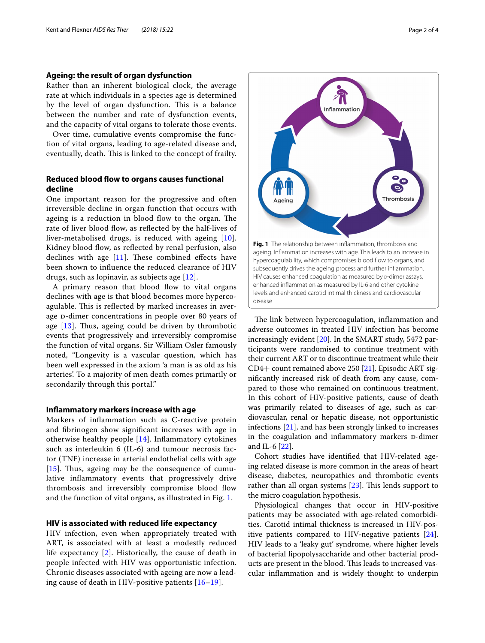## **Ageing: the result of organ dysfunction**

Rather than an inherent biological clock, the average rate at which individuals in a species age is determined by the level of organ dysfunction. This is a balance between the number and rate of dysfunction events, and the capacity of vital organs to tolerate those events.

Over time, cumulative events compromise the function of vital organs, leading to age-related disease and, eventually, death. This is linked to the concept of frailty.

# **Reduced blood fow to organs causes functional decline**

One important reason for the progressive and often irreversible decline in organ function that occurs with ageing is a reduction in blood flow to the organ. The rate of liver blood flow, as reflected by the half-lives of liver-metabolised drugs, is reduced with ageing [[10\]](#page-2-9). Kidney blood flow, as reflected by renal perfusion, also declines with age  $[11]$  $[11]$ . These combined effects have been shown to infuence the reduced clearance of HIV drugs, such as lopinavir, as subjects age [[12\]](#page-2-11).

A primary reason that blood flow to vital organs declines with age is that blood becomes more hypercoagulable. This is reflected by marked increases in average D-dimer concentrations in people over 80 years of age  $[13]$  $[13]$  $[13]$ . Thus, ageing could be driven by thrombotic events that progressively and irreversibly compromise the function of vital organs. Sir William Osler famously noted, "Longevity is a vascular question, which has been well expressed in the axiom 'a man is as old as his arteries'. To a majority of men death comes primarily or secondarily through this portal."

#### **Infammatory markers increase with age**

Markers of infammation such as C-reactive protein and fbrinogen show signifcant increases with age in otherwise healthy people [\[14](#page-2-13)]. Infammatory cytokines such as interleukin 6 (IL-6) and tumour necrosis factor (TNF) increase in arterial endothelial cells with age [ $15$ ]. Thus, ageing may be the consequence of cumulative infammatory events that progressively drive thrombosis and irreversibly compromise blood fow and the function of vital organs, as illustrated in Fig. [1.](#page-1-0)

## **HIV is associated with reduced life expectancy**

HIV infection, even when appropriately treated with ART, is associated with at least a modestly reduced life expectancy [\[2](#page-2-1)]. Historically, the cause of death in people infected with HIV was opportunistic infection. Chronic diseases associated with ageing are now a leading cause of death in HIV-positive patients [\[16](#page-3-0)[–19\]](#page-3-1).



<span id="page-1-0"></span>The link between hypercoagulation, inflammation and adverse outcomes in treated HIV infection has become increasingly evident [\[20](#page-3-2)]. In the SMART study, 5472 participants were randomised to continue treatment with their current ART or to discontinue treatment while their CD4+ count remained above 250 [\[21](#page-3-3)]. Episodic ART signifcantly increased risk of death from any cause, compared to those who remained on continuous treatment. In this cohort of HIV-positive patients, cause of death was primarily related to diseases of age, such as cardiovascular, renal or hepatic disease, not opportunistic infections [[21\]](#page-3-3), and has been strongly linked to increases in the coagulation and inflammatory markers D-dimer and IL-6 [\[22\]](#page-3-4).

Cohort studies have identifed that HIV-related ageing related disease is more common in the areas of heart disease, diabetes, neuropathies and thrombotic events rather than all organ systems  $[23]$  $[23]$  $[23]$ . This lends support to the micro coagulation hypothesis.

Physiological changes that occur in HIV-positive patients may be associated with age-related comorbidities. Carotid intimal thickness is increased in HIV-positive patients compared to HIV-negative patients [\[24](#page-3-6)]. HIV leads to a 'leaky gut' syndrome, where higher levels of bacterial lipopolysaccharide and other bacterial products are present in the blood. This leads to increased vascular infammation and is widely thought to underpin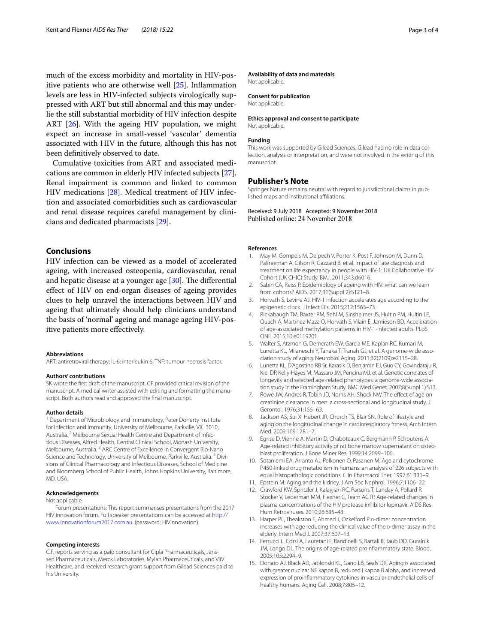much of the excess morbidity and mortality in HIV-positive patients who are otherwise well [\[25\]](#page-3-7). Infammation levels are less in HIV-infected subjects virologically suppressed with ART but still abnormal and this may underlie the still substantial morbidity of HIV infection despite ART [[26\]](#page-3-8). With the ageing HIV population, we might expect an increase in small-vessel 'vascular' dementia associated with HIV in the future, although this has not been defnitively observed to date.

Cumulative toxicities from ART and associated medications are common in elderly HIV infected subjects [\[27](#page-3-9)]. Renal impairment is common and linked to common HIV medications [[28\]](#page-3-10). Medical treatment of HIV infection and associated comorbidities such as cardiovascular and renal disease requires careful management by clinicians and dedicated pharmacists [[29\]](#page-3-11).

## **Conclusions**

HIV infection can be viewed as a model of accelerated ageing, with increased osteopenia, cardiovascular, renal and hepatic disease at a younger age  $[30]$  $[30]$ . The differential efect of HIV on end-organ diseases of ageing provides clues to help unravel the interactions between HIV and ageing that ultimately should help clinicians understand the basis of 'normal' ageing and manage ageing HIV-positive patients more efectively.

#### **Abbreviations**

ART: antiretroviral therapy; IL-6: interleukin 6; TNF: tumour necrosis factor.

#### **Authors' contributions**

SK wrote the frst draft of the manuscript. CF provided critical revision of the manuscript. A medical writer assisted with editing and formatting the manuscript. Both authors read and approved the fnal manuscript.

#### **Author details**

<sup>1</sup> Department of Microbiology and Immunology, Peter Doherty Institute for Infection and Immunity, University of Melbourne, Parkville, VIC 3010, Australia. <sup>2</sup> Melbourne Sexual Health Centre and Department of Infectious Diseases, Alfred Health, Central Clinical School, Monash University, Melbourne, Australia. <sup>3</sup> ARC Centre of Excellence in Convergent Bio-Nano Science and Technology, University of Melbourne, Parkville, Australia. 4 Divisions of Clinical Pharmacology and Infectious Diseases, School of Medicine and Bloomberg School of Public Health, Johns Hopkins University, Baltimore, MD, USA.

#### **Acknowledgements**

#### Not applicable.

Forum presentations: This report summarises presentations from the 2017 HIV innovation forum. Full speaker presentations can be accessed at [http://](http://www.innovationforum2017.com.au) [www.innovationforum2017.com.au.](http://www.innovationforum2017.com.au) (password: HIVinnovation).

#### **Competing interests**

C.F. reports serving as a paid consultant for Cipla Pharmaceuticals, Janssen Pharmaceuticals, Merck Laboratories, Mylan Pharmaceuticals, and ViiV Healthcare, and received research grant support from Gilead Sciences paid to his University.

#### **Availability of data and materials**

Not applicable.

#### **Consent for publication**

Not applicable.

#### **Ethics approval and consent to participate**

Not applicable.

### **Funding**

This work was supported by Gilead Sciences. Gilead had no role in data collection, analysis or interpretation, and were not involved in the writing of this manuscript.

#### **Publisher's Note**

Springer Nature remains neutral with regard to jurisdictional claims in published maps and institutional afliations.

Received: 9 July 2018 Accepted: 9 November 2018 Published online: 24 November 2018

#### **References**

- <span id="page-2-0"></span>May M, Gompels M, Delpech V, Porter K, Post F, Johnson M, Dunn D, Palfreeman A, Gilson R, Gazzard B, et al. Impact of late diagnosis and treatment on life expectancy in people with HIV-1: UK Collaborative HIV Cohort (UK CHIC) Study. BMJ. 2011;343:d6016.
- <span id="page-2-1"></span>2. Sabin CA, Reiss P. Epidemiology of ageing with HIV: what can we learn from cohorts? AIDS. 2017;31(Suppl 2):S121–8.
- <span id="page-2-2"></span>3. Horvath S, Levine AJ. HIV-1 infection accelerates age according to the epigenetic clock. J Infect Dis. 2015;212:1563–73.
- <span id="page-2-3"></span>4. Rickabaugh TM, Baxter RM, Sehl M, Sinsheimer JS, Hultin PM, Hultin LE, Quach A, Martinez-Maza O, Horvath S, Vilain E, Jamieson BD. Acceleration of age-associated methylation patterns in HIV-1-infected adults. PLoS ONE. 2015;10:e0119201.
- <span id="page-2-4"></span>5. Walter S, Atzmon G, Demerath EW, Garcia ME, Kaplan RC, Kumari M, Lunetta KL, Milaneschi Y, Tanaka T, Tranah GJ, et al. A genome-wide association study of aging. Neurobiol Aging. 2011;32(2109):e2115–28.
- <span id="page-2-5"></span>6. Lunetta KL, D'Agostino RB Sr, Karasik D, Benjamin EJ, Guo CY, Govindaraju R, Kiel DP, Kelly-Hayes M, Massaro JM, Pencina MJ, et al. Genetic correlates of longevity and selected age-related phenotypes: a genome-wide association study in the Framingham Study. BMC Med Genet. 2007;8(Suppl 1):S13.
- <span id="page-2-6"></span>7. Rowe JW, Andres R, Tobin JD, Norris AH, Shock NW. The effect of age on creatinine clearance in men: a cross-sectional and longitudinal study. J Gerontol. 1976;31:155–63.
- <span id="page-2-7"></span>8. Jackson AS, Sui X, Hebert JR, Church TS, Blair SN. Role of lifestyle and aging on the longitudinal change in cardiorespiratory ftness. Arch Intern Med. 2009;169:1781–7.
- <span id="page-2-8"></span>9. Egrise D, Vienne A, Martin D, Chaboteaux C, Bergmann P, Schoutens A. Age-related inhibitory activity of rat bone marrow supernatant on osteoblast proliferation. J Bone Miner Res. 1999;14:2099–106.
- <span id="page-2-9"></span>10. Sotaniemi EA, Arranto AJ, Pelkonen O, Pasanen M. Age and cytochrome P450-linked drug metabolism in humans: an analysis of 226 subjects with equal histopathologic conditions. Clin Pharmacol Ther. 1997;61:331–9.
- <span id="page-2-10"></span>11. Epstein M. Aging and the kidney. J Am Soc Nephrol. 1996;7:1106–22.
- <span id="page-2-11"></span>12. Crawford KW, Spritzler J, Kalayjian RC, Parsons T, Landay A, Pollard R, Stocker V, Lederman MM, Flexner C, Team ACTP. Age-related changes in plasma concentrations of the HIV protease inhibitor lopinavir. AIDS Res Hum Retroviruses. 2010;26:635–43.
- <span id="page-2-12"></span>13. Harper PL, Theakston E, Ahmed J, Ockelford P. D-dimer concentration increases with age reducing the clinical value of the p-dimer assay in the elderly. Intern Med J. 2007;37:607–13.
- <span id="page-2-13"></span>14. Ferrucci L, Corsi A, Lauretani F, Bandinelli S, Bartali B, Taub DD, Guralnik JM, Longo DL. The origins of age-related proinfammatory state. Blood. 2005;105:2294–9.
- <span id="page-2-14"></span>15. Donato AJ, Black AD, Jablonski KL, Gano LB, Seals DR. Aging is associated with greater nuclear NF kappa B, reduced I kappa B alpha, and increased expression of proinfammatory cytokines in vascular endothelial cells of healthy humans. Aging Cell. 2008;7:805–12.